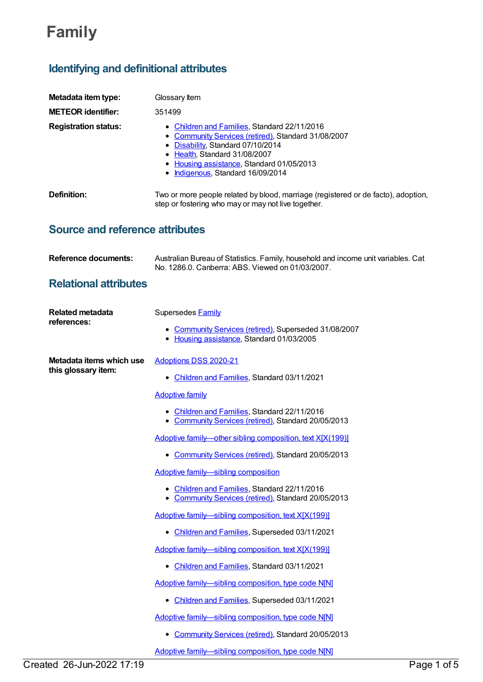# **Family**

# **Identifying and definitional attributes**

| Metadata item type:                             | Glossary Item                                                                                                                                                                                                                                               |
|-------------------------------------------------|-------------------------------------------------------------------------------------------------------------------------------------------------------------------------------------------------------------------------------------------------------------|
| <b>METEOR identifier:</b>                       | 351499                                                                                                                                                                                                                                                      |
| <b>Registration status:</b>                     | • Children and Families, Standard 22/11/2016<br>• Community Services (retired), Standard 31/08/2007<br>• Disability, Standard 07/10/2014<br>• Health, Standard 31/08/2007<br>• Housing assistance, Standard 01/05/2013<br>• Indigenous, Standard 16/09/2014 |
| Definition:                                     | Two or more people related by blood, marriage (registered or de facto), adoption,<br>step or fostering who may or may not live together.                                                                                                                    |
| <b>Source and reference attributes</b>          |                                                                                                                                                                                                                                                             |
| <b>Reference documents:</b>                     | Australian Bureau of Statistics. Family, household and income unit variables. Cat<br>No. 1286.0. Canberra: ABS. Viewed on 01/03/2007.                                                                                                                       |
| <b>Relational attributes</b>                    |                                                                                                                                                                                                                                                             |
| <b>Related metadata</b>                         | Supersedes Family                                                                                                                                                                                                                                           |
| references:                                     | • Community Services (retired), Superseded 31/08/2007<br>• Housing assistance, Standard 01/03/2005                                                                                                                                                          |
| Metadata items which use<br>this glossary item: | Adoptions DSS 2020-21                                                                                                                                                                                                                                       |
|                                                 | • Children and Families, Standard 03/11/2021                                                                                                                                                                                                                |
|                                                 | <b>Adoptive family</b>                                                                                                                                                                                                                                      |
|                                                 | • Children and Families, Standard 22/11/2016<br>• Community Services (retired), Standard 20/05/2013                                                                                                                                                         |
|                                                 | Adoptive family-other sibling composition, text X[X(199)]                                                                                                                                                                                                   |
|                                                 | Community Services (retired), Standard 20/05/2013                                                                                                                                                                                                           |
|                                                 | Adoptive family-sibling composition                                                                                                                                                                                                                         |
|                                                 | Children and Families, Standard 22/11/2016<br>Community Services (retired), Standard 20/05/2013                                                                                                                                                             |
|                                                 | Adoptive family-sibling composition, text X[X(199)]                                                                                                                                                                                                         |
|                                                 | • Children and Families, Superseded 03/11/2021                                                                                                                                                                                                              |
|                                                 | Adoptive family-sibling composition, text X[X(199)]                                                                                                                                                                                                         |
|                                                 | • Children and Families, Standard 03/11/2021                                                                                                                                                                                                                |
|                                                 | Adoptive family-sibling composition, type code N[N]                                                                                                                                                                                                         |
|                                                 | • Children and Families, Superseded 03/11/2021                                                                                                                                                                                                              |
|                                                 | Adoptive family-sibling composition, type code N[N]                                                                                                                                                                                                         |
|                                                 | <b>Community Services (retired), Standard 20/05/2013</b><br>$\bullet$                                                                                                                                                                                       |
|                                                 | Adoptive family-sibling composition, type code N[N]                                                                                                                                                                                                         |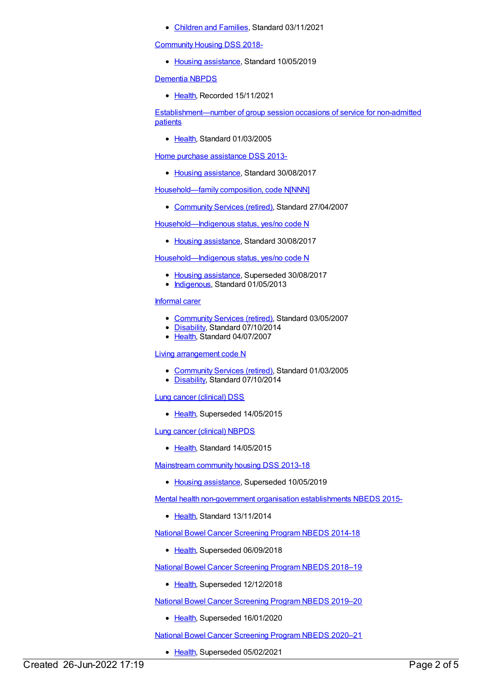[Children](https://meteor.aihw.gov.au/RegistrationAuthority/17) and Families, Standard 03/11/2021

[Community](https://meteor.aihw.gov.au/content/710899) Housing DSS 2018-

• Housing [assistance](https://meteor.aihw.gov.au/RegistrationAuthority/11), Standard 10/05/2019

[Dementia](https://meteor.aihw.gov.au/content/737872) NBPDS

• [Health](https://meteor.aihw.gov.au/RegistrationAuthority/12), Recorded 15/11/2021

[Establishment—number](https://meteor.aihw.gov.au/content/269674) of group session occasions of service for non-admitted patients

• [Health](https://meteor.aihw.gov.au/RegistrationAuthority/12), Standard 01/03/2005

Home purchase [assistance](https://meteor.aihw.gov.au/content/596710) DSS 2013-

• Housing [assistance](https://meteor.aihw.gov.au/RegistrationAuthority/11), Standard 30/08/2017

[Household—family](https://meteor.aihw.gov.au/content/343206) composition, code N[NNN]

[Community](https://meteor.aihw.gov.au/RegistrationAuthority/1) Services (retired), Standard 27/04/2007

[Household—Indigenous](https://meteor.aihw.gov.au/content/607888) status, yes/no code N

• Housing [assistance](https://meteor.aihw.gov.au/RegistrationAuthority/11), Standard 30/08/2017

[Household—Indigenous](https://meteor.aihw.gov.au/content/460738) status, yes/no code N

- Housing [assistance](https://meteor.aihw.gov.au/RegistrationAuthority/11), Superseded 30/08/2017
- [Indigenous](https://meteor.aihw.gov.au/RegistrationAuthority/6), Standard 01/05/2013

# [Informal](https://meteor.aihw.gov.au/content/353420) carer

- [Community](https://meteor.aihw.gov.au/RegistrationAuthority/1) Services (retired), Standard 03/05/2007
- [Disability](https://meteor.aihw.gov.au/RegistrationAuthority/16), Standard 07/10/2014
- [Health](https://meteor.aihw.gov.au/RegistrationAuthority/12), Standard 04/07/2007

Living [arrangement](https://meteor.aihw.gov.au/content/270889) code N

- [Community](https://meteor.aihw.gov.au/RegistrationAuthority/1) Services (retired), Standard 01/03/2005
- [Disability](https://meteor.aihw.gov.au/RegistrationAuthority/16), Standard 07/10/2014

Lung cancer [\(clinical\)](https://meteor.aihw.gov.au/content/430950) DSS

• [Health](https://meteor.aihw.gov.au/RegistrationAuthority/12), Superseded 14/05/2015

Lung cancer [\(clinical\)](https://meteor.aihw.gov.au/content/599613) NBPDS

• [Health](https://meteor.aihw.gov.au/RegistrationAuthority/12), Standard 14/05/2015

[Mainstream](https://meteor.aihw.gov.au/content/594489) community housing DSS 2013-18

• Housing [assistance](https://meteor.aihw.gov.au/RegistrationAuthority/11), Superseded 10/05/2019

Mental health [non-government](https://meteor.aihw.gov.au/content/494729) organisation establishments NBEDS 2015-

• [Health](https://meteor.aihw.gov.au/RegistrationAuthority/12), Standard 13/11/2014

National Bowel Cancer [Screening](https://meteor.aihw.gov.au/content/529201) Program NBEDS 2014-18

• [Health](https://meteor.aihw.gov.au/RegistrationAuthority/12), Superseded 06/09/2018

National Bowel Cancer [Screening](https://meteor.aihw.gov.au/content/694107) Program NBEDS 2018–19

• [Health](https://meteor.aihw.gov.au/RegistrationAuthority/12), Superseded 12/12/2018

National Bowel Cancer [Screening](https://meteor.aihw.gov.au/content/707481) Program NBEDS 2019–20

• [Health](https://meteor.aihw.gov.au/RegistrationAuthority/12), Superseded 16/01/2020

National Bowel Cancer [Screening](https://meteor.aihw.gov.au/content/715323) Program NBEDS 2020–21

• [Health](https://meteor.aihw.gov.au/RegistrationAuthority/12), Superseded 05/02/2021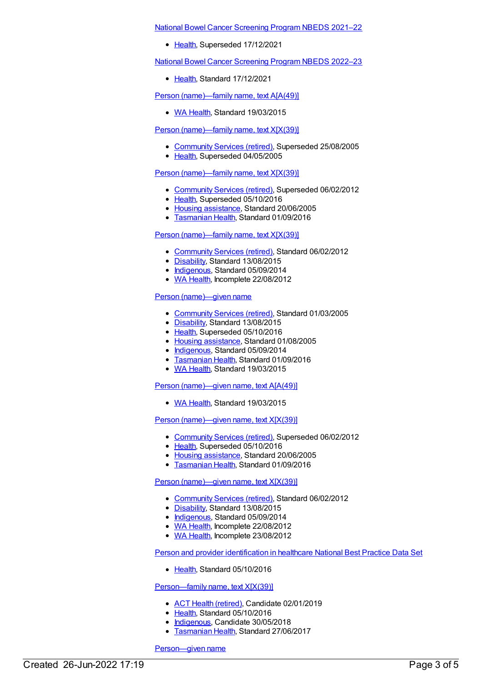National Bowel Cancer [Screening](https://meteor.aihw.gov.au/content/727407) Program NBEDS 2021–22

• [Health](https://meteor.aihw.gov.au/RegistrationAuthority/12), Superseded 17/12/2021

National Bowel Cancer [Screening](https://meteor.aihw.gov.au/content/742048) Program NBEDS 2022–23

[Health](https://meteor.aihw.gov.au/RegistrationAuthority/12), Standard 17/12/2021

Person [\(name\)—family](https://meteor.aihw.gov.au/content/570587) name, text A[A(49)]

• WA [Health](https://meteor.aihw.gov.au/RegistrationAuthority/2), Standard 19/03/2015

Person [\(name\)—family](https://meteor.aihw.gov.au/content/270259) name, text X[X(39)]

- [Community](https://meteor.aihw.gov.au/RegistrationAuthority/1) Services (retired), Superseded 25/08/2005
- [Health](https://meteor.aihw.gov.au/RegistrationAuthority/12), Superseded 04/05/2005

#### Person [\(name\)—family](https://meteor.aihw.gov.au/content/286953) name, text X[X(39)]

- [Community](https://meteor.aihw.gov.au/RegistrationAuthority/1) Services (retired), Superseded 06/02/2012
- [Health](https://meteor.aihw.gov.au/RegistrationAuthority/12), Superseded 05/10/2016
- Housing [assistance](https://meteor.aihw.gov.au/RegistrationAuthority/11), Standard 20/06/2005
- **[Tasmanian](https://meteor.aihw.gov.au/RegistrationAuthority/15) Health, Standard 01/09/2016**

#### Person [\(name\)—family](https://meteor.aihw.gov.au/content/453750) name, text X[X(39)]

- [Community](https://meteor.aihw.gov.au/RegistrationAuthority/1) Services (retired), Standard 06/02/2012
- [Disability](https://meteor.aihw.gov.au/RegistrationAuthority/16), Standard 13/08/2015
- [Indigenous](https://meteor.aihw.gov.au/RegistrationAuthority/6), Standard 05/09/2014
- WA [Health](https://meteor.aihw.gov.au/RegistrationAuthority/2), Incomplete 22/08/2012

#### Person [\(name\)—given](https://meteor.aihw.gov.au/content/269709) name

- [Community](https://meteor.aihw.gov.au/RegistrationAuthority/1) Services (retired), Standard 01/03/2005
- [Disability](https://meteor.aihw.gov.au/RegistrationAuthority/16), Standard 13/08/2015
- [Health](https://meteor.aihw.gov.au/RegistrationAuthority/12), Superseded 05/10/2016
- Housing [assistance](https://meteor.aihw.gov.au/RegistrationAuthority/11), Standard 01/08/2005
- [Indigenous](https://meteor.aihw.gov.au/RegistrationAuthority/6), Standard 05/09/2014
- [Tasmanian](https://meteor.aihw.gov.au/RegistrationAuthority/15) Health, Standard 01/09/2016
- WA [Health](https://meteor.aihw.gov.au/RegistrationAuthority/2), Standard 19/03/2015

#### Person [\(name\)—given](https://meteor.aihw.gov.au/content/570601) name, text A[A(49)]

• WA [Health](https://meteor.aihw.gov.au/RegistrationAuthority/2), Standard 19/03/2015

#### Person [\(name\)—given](https://meteor.aihw.gov.au/content/287035) name, text X[X(39)]

- [Community](https://meteor.aihw.gov.au/RegistrationAuthority/1) Services (retired), Superseded 06/02/2012
- [Health](https://meteor.aihw.gov.au/RegistrationAuthority/12), Superseded 05/10/2016
- Housing [assistance](https://meteor.aihw.gov.au/RegistrationAuthority/11), Standard 20/06/2005
- [Tasmanian](https://meteor.aihw.gov.au/RegistrationAuthority/15) Health, Standard 01/09/2016

# Person [\(name\)—given](https://meteor.aihw.gov.au/content/453734) name, text X[X(39)]

- [Community](https://meteor.aihw.gov.au/RegistrationAuthority/1) Services (retired), Standard 06/02/2012
- [Disability](https://meteor.aihw.gov.au/RegistrationAuthority/16), Standard 13/08/2015
- [Indigenous](https://meteor.aihw.gov.au/RegistrationAuthority/6), Standard 05/09/2014
- WA [Health](https://meteor.aihw.gov.au/RegistrationAuthority/2), Incomplete 22/08/2012
- WA [Health](https://meteor.aihw.gov.au/RegistrationAuthority/2), Incomplete 23/08/2012

Person and provider [identification](https://meteor.aihw.gov.au/content/529511) in healthcare National Best Practice Data Set

• [Health](https://meteor.aihw.gov.au/RegistrationAuthority/12), Standard 05/10/2016

# [Person—family](https://meteor.aihw.gov.au/content/613331) name, text X[X(39)]

- ACT Health [\(retired\)](https://meteor.aihw.gov.au/RegistrationAuthority/9), Candidate 02/01/2019
- [Health](https://meteor.aihw.gov.au/RegistrationAuthority/12), Standard 05/10/2016
- [Indigenous](https://meteor.aihw.gov.au/RegistrationAuthority/6), Candidate 30/05/2018
- **[Tasmanian](https://meteor.aihw.gov.au/RegistrationAuthority/15) Health, Standard 27/06/2017**

#### [Person—given](https://meteor.aihw.gov.au/content/613342) name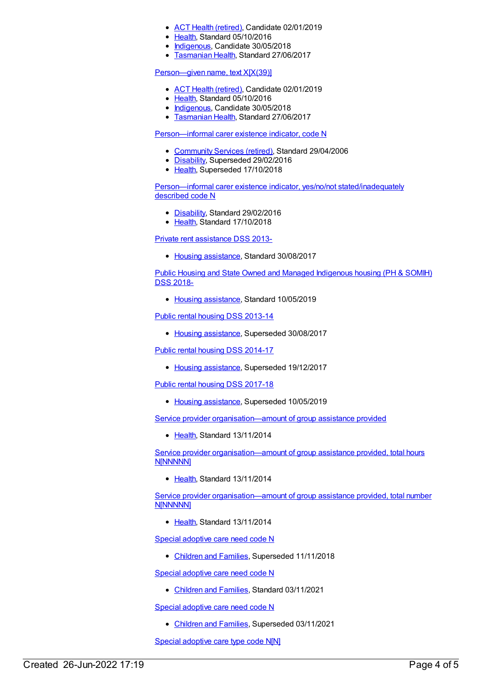- ACT Health [\(retired\)](https://meteor.aihw.gov.au/RegistrationAuthority/9), Candidate 02/01/2019
- [Health](https://meteor.aihw.gov.au/RegistrationAuthority/12), Standard 05/10/2016
- [Indigenous](https://meteor.aihw.gov.au/RegistrationAuthority/6), Candidate 30/05/2018
- [Tasmanian](https://meteor.aihw.gov.au/RegistrationAuthority/15) Health, Standard 27/06/2017

#### [Person—given](https://meteor.aihw.gov.au/content/613340) name, text X[X(39)]

- ACT Health [\(retired\)](https://meteor.aihw.gov.au/RegistrationAuthority/9), Candidate 02/01/2019
- [Health](https://meteor.aihw.gov.au/RegistrationAuthority/12), Standard 05/10/2016
- [Indigenous](https://meteor.aihw.gov.au/RegistrationAuthority/6), Candidate 30/05/2018
- **[Tasmanian](https://meteor.aihw.gov.au/RegistrationAuthority/15) Health, Standard 27/06/2017**

#### [Person—informal](https://meteor.aihw.gov.au/content/320939) carer existence indicator, code N

- [Community](https://meteor.aihw.gov.au/RegistrationAuthority/1) Services (retired), Standard 29/04/2006
- [Disability](https://meteor.aihw.gov.au/RegistrationAuthority/16), Superseded 29/02/2016
- [Health](https://meteor.aihw.gov.au/RegistrationAuthority/12), Superseded 17/10/2018

Person—informal carer existence indicator, yes/no/not [stated/inadequately](https://meteor.aihw.gov.au/content/621393) described code N

- [Disability](https://meteor.aihw.gov.au/RegistrationAuthority/16), Standard 29/02/2016
- [Health](https://meteor.aihw.gov.au/RegistrationAuthority/12), Standard 17/10/2018

Private rent [assistance](https://meteor.aihw.gov.au/content/596529) DSS 2013-

• Housing [assistance](https://meteor.aihw.gov.au/RegistrationAuthority/11), Standard 30/08/2017

Public Housing and State Owned and Managed [Indigenous](https://meteor.aihw.gov.au/content/711016) housing (PH & SOMIH) DSS 2018-

• Housing [assistance](https://meteor.aihw.gov.au/RegistrationAuthority/11), Standard 10/05/2019

Public rental housing DSS [2013-14](https://meteor.aihw.gov.au/content/595530)

• Housing [assistance](https://meteor.aihw.gov.au/RegistrationAuthority/11), Superseded 30/08/2017

Public rental housing DSS [2014-17](https://meteor.aihw.gov.au/content/635946)

• Housing [assistance](https://meteor.aihw.gov.au/RegistrationAuthority/11), Superseded 19/12/2017

Public rental housing DSS [2017-18](https://meteor.aihw.gov.au/content/687107)

• Housing [assistance](https://meteor.aihw.gov.au/RegistrationAuthority/11), Superseded 10/05/2019

Service provider [organisation—amount](https://meteor.aihw.gov.au/content/481277) of group assistance provided

• [Health](https://meteor.aihw.gov.au/RegistrationAuthority/12), Standard 13/11/2014

Service provider [organisation—amount](https://meteor.aihw.gov.au/content/481023) of group assistance provided, total hours N[NNNNN]

• [Health](https://meteor.aihw.gov.au/RegistrationAuthority/12), Standard 13/11/2014

Service provider [organisation—amount](https://meteor.aihw.gov.au/content/480815) of group assistance provided, total number N[NNNNN]

• [Health](https://meteor.aihw.gov.au/RegistrationAuthority/12), Standard 13/11/2014

Special [adoptive](https://meteor.aihw.gov.au/content/687817) care need code N

• [Children](https://meteor.aihw.gov.au/RegistrationAuthority/17) and Families, Superseded 11/11/2018

Special [adoptive](https://meteor.aihw.gov.au/content/749223) care need code N

[Children](https://meteor.aihw.gov.au/RegistrationAuthority/17) and Families, Standard 03/11/2021

Special [adoptive](https://meteor.aihw.gov.au/content/700980) care need code N

[Children](https://meteor.aihw.gov.au/RegistrationAuthority/17) and Families, Superseded 03/11/2021

Special [adoptive](https://meteor.aihw.gov.au/content/687822) care type code N[N]